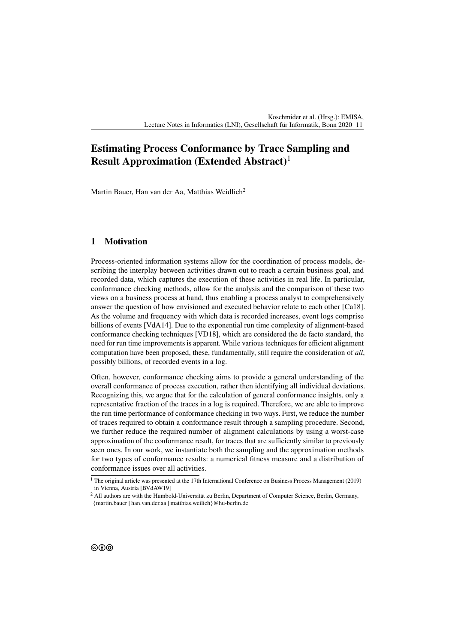# **Estimating Process Conformance by Trace Sampling and Result Approximation (Extended Abstract)**<sup>1</sup>

Martin Bauer, Han van der Aa, Matthias Weidlich<sup>2</sup>

## **1 Motivation**

Process-oriented information systems allow for the coordination of process models, describing the interplay between activities drawn out to reach a certain business goal, and recorded data, which captures the execution of these activities in real life. In particular, conformance checking methods, allow for the analysis and the comparison of these two views on a business process at hand, thus enabling a process analyst to comprehensively answer the question of how envisioned and executed behavior relate to each other [\[Ca18\]](#page-1-0). As the volume and frequency with which data is recorded increases, event logs comprise billions of events [\[VdA14\]](#page-1-1). Due to the exponential run time complexity of alignment-based conformance checking techniques [\[VD18\]](#page-1-2), which are considered the de facto standard, the need for run time improvements is apparent. While various techniques for efficient alignment computation have been proposed, these, fundamentally, still require the consideration of *all*, possibly billions, of recorded events in a log.

Often, however, conformance checking aims to provide a general understanding of the overall conformance of process execution, rather then identifying all individual deviations. Recognizing this, we argue that for the calculation of general conformance insights, only a representative fraction of the traces in a log is required. Therefore, we are able to improve the run time performance of conformance checking in two ways. First, we reduce the number of traces required to obtain a conformance result through a sampling procedure. Second, we further reduce the required number of alignment calculations by using a worst-case approximation of the conformance result, for traces that are sufficiently similar to previously seen ones. In our work, we instantiate both the sampling and the approximation methods for two types of conformance results: a numerical fitness measure and a distribution of conformance issues over all activities.

 $1$  The original article was presented at the 17th International Conference on Business Process Management (2019) in Vienna, Austria [\[BVdAW19\]](#page-1-3)

<sup>&</sup>lt;sup>2</sup> All authors are with the Humbold-Universität zu Berlin, Department of Computer Science, Berlin, Germany, {martin.bauer | han.van.der.aa | matthias.weilich}@hu-berlin.de